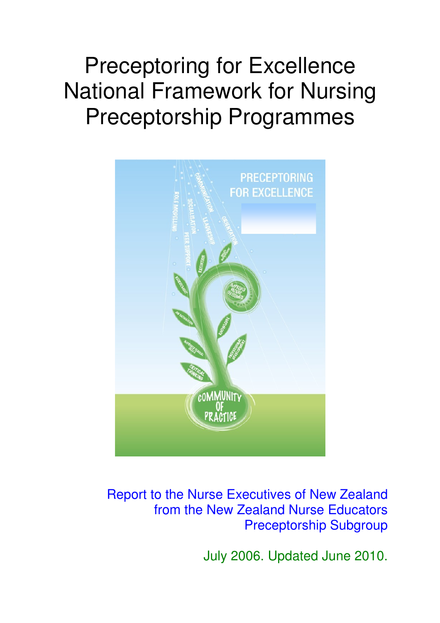# Preceptoring for Excellence National Framework for Nursing Preceptorship Programmes



## Report to the Nurse Executives of New Zealand from the New Zealand Nurse Educators Preceptorship Subgroup

July 2006. Updated June 2010.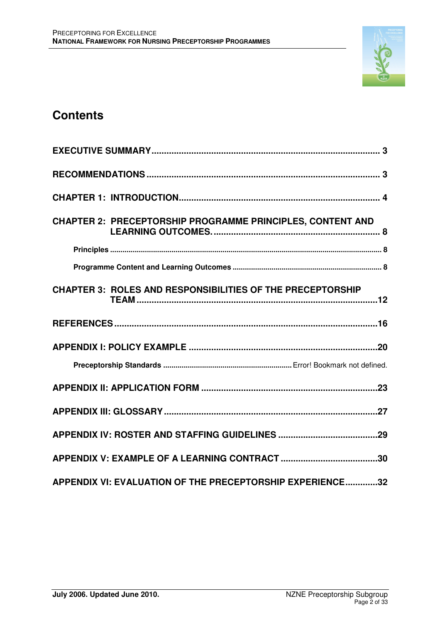

## **Contents**

| <b>CHAPTER 2: PRECEPTORSHIP PROGRAMME PRINCIPLES, CONTENT AND</b> |
|-------------------------------------------------------------------|
|                                                                   |
|                                                                   |
| <b>CHAPTER 3: ROLES AND RESPONSIBILITIES OF THE PRECEPTORSHIP</b> |
|                                                                   |
|                                                                   |
|                                                                   |
|                                                                   |
|                                                                   |
|                                                                   |
|                                                                   |
| APPENDIX VI: EVALUATION OF THE PRECEPTORSHIP EXPERIENCE32         |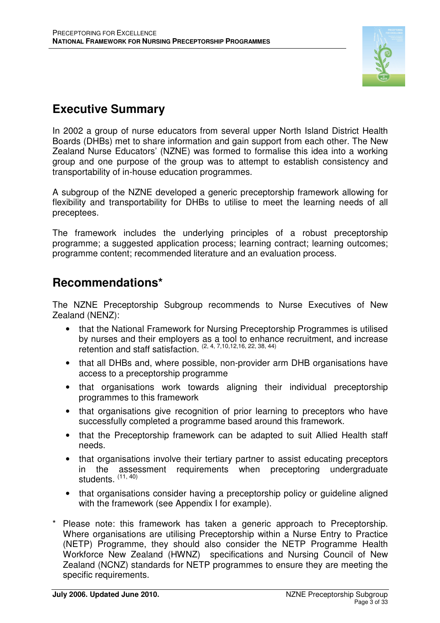

## **Executive Summary**

In 2002 a group of nurse educators from several upper North Island District Health Boards (DHBs) met to share information and gain support from each other. The New Zealand Nurse Educators' (NZNE) was formed to formalise this idea into a working group and one purpose of the group was to attempt to establish consistency and transportability of in-house education programmes.

A subgroup of the NZNE developed a generic preceptorship framework allowing for flexibility and transportability for DHBs to utilise to meet the learning needs of all preceptees.

The framework includes the underlying principles of a robust preceptorship programme; a suggested application process; learning contract; learning outcomes; programme content; recommended literature and an evaluation process.

## **Recommendations\***

The NZNE Preceptorship Subgroup recommends to Nurse Executives of New Zealand (NENZ):

- that the National Framework for Nursing Preceptorship Programmes is utilised by nurses and their employers as a tool to enhance recruitment, and increase retention and staff satisfaction.  $(2, 4, 7, 10, 12, 16, 22, 38, 44)$
- that all DHBs and, where possible, non-provider arm DHB organisations have access to a preceptorship programme
- that organisations work towards aligning their individual preceptorship programmes to this framework
- that organisations give recognition of prior learning to preceptors who have successfully completed a programme based around this framework.
- that the Preceptorship framework can be adapted to suit Allied Health staff needs.
- that organisations involve their tertiary partner to assist educating preceptors in the assessment requirements when preceptoring undergraduate students. <sup>(11, 40)</sup>
- that organisations consider having a preceptorship policy or quideline aligned with the framework (see Appendix I for example).
- Please note: this framework has taken a generic approach to Preceptorship. Where organisations are utilising Preceptorship within a Nurse Entry to Practice (NETP) Programme, they should also consider the NETP Programme Health Workforce New Zealand (HWNZ) specifications and Nursing Council of New Zealand (NCNZ) standards for NETP programmes to ensure they are meeting the specific requirements.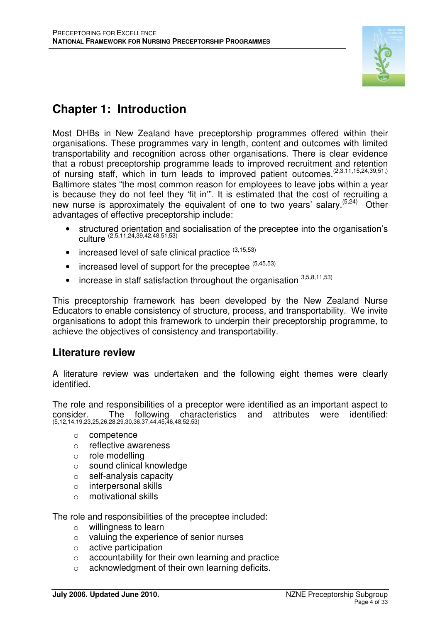

## **Chapter 1: Introduction**

Most DHBs in New Zealand have preceptorship programmes offered within their organisations. These programmes vary in length, content and outcomes with limited transportability and recognition across other organisations. There is clear evidence that a robust preceptorship programme leads to improved recruitment and retention of nursing staff, which in turn leads to improved patient outcomes.  $(2,3,11,15,24,39,51,$ Baltimore states "the most common reason for employees to leave jobs within a year is because they do not feel they 'fit in'". It is estimated that the cost of recruiting a new nurse is approximately the equivalent of one to two years' salary.(5,24) Other advantages of effective preceptorship include:

- structured orientation and socialisation of the preceptee into the organisation's culture (2,5,11,24,39,42,48,51,53)
- increased level of safe clinical practice  $(3,15,53)$
- $\bullet$  increased level of support for the preceptee  $(5,45,53)$
- $\bullet$  increase in staff satisfaction throughout the organisation  $^{3,5,8,11,53)}$

This preceptorship framework has been developed by the New Zealand Nurse Educators to enable consistency of structure, process, and transportability. We invite organisations to adopt this framework to underpin their preceptorship programme, to achieve the objectives of consistency and transportability.

## **Literature review**

A literature review was undertaken and the following eight themes were clearly identified.

The role and responsibilities of a preceptor were identified as an important aspect to consider. The following characteristics and attributes were identified: (5,12,14,19,23,25,26,28,29,30,36,37,44,45,46,48,52,53)

- o competence
- o reflective awareness
- o role modelling
- o sound clinical knowledge
- o self-analysis capacity
- o interpersonal skills
- o motivational skills

The role and responsibilities of the preceptee included:

- o willingness to learn
- o valuing the experience of senior nurses
- o active participation
- $\circ$  accountability for their own learning and practice
- o acknowledgment of their own learning deficits.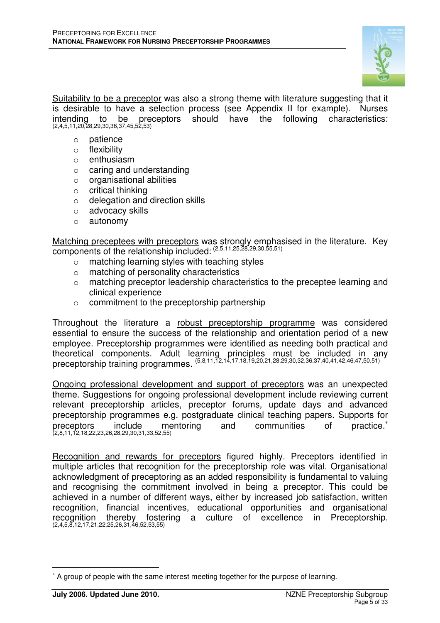

Suitability to be a preceptor was also a strong theme with literature suggesting that it is desirable to have a selection process (see Appendix II for example). Nurses intending to be preceptors should have the following characteristics: (2,4,5,11,20,28,29,30,36,37,45,52,53)

- o patience
- o flexibility
- o enthusiasm
- o caring and understanding
- o organisational abilities
- o critical thinking
- o delegation and direction skills
- o advocacy skills
- o autonomy

Matching preceptees with preceptors was strongly emphasised in the literature. Key components of the relationship included: (2,5,11,25,28,29,30,55,51)

- o matching learning styles with teaching styles
- o matching of personality characteristics
- o matching preceptor leadership characteristics to the preceptee learning and clinical experience
- o commitment to the preceptorship partnership

Throughout the literature a robust preceptorship programme was considered essential to ensure the success of the relationship and orientation period of a new employee. Preceptorship programmes were identified as needing both practical and theoretical components. Adult learning principles must be included in any preceptorship training programmes. (5,8,11,12,14,17,18,19,20,21,28,29,30,32,36,37,40,41,42,46,47,50,51)

Ongoing professional development and support of preceptors was an unexpected theme. Suggestions for ongoing professional development include reviewing current relevant preceptorship articles, preceptor forums, update days and advanced preceptorship programmes e.g. postgraduate clinical teaching papers. Supports for .<br>preceptors include mentoring and communities of practice.<sup>∗</sup><br>(2,8,11,12,18,22,23,26,28,29,30,31,33,52,55)

Recognition and rewards for preceptors figured highly. Preceptors identified in multiple articles that recognition for the preceptorship role was vital. Organisational acknowledgment of preceptoring as an added responsibility is fundamental to valuing and recognising the commitment involved in being a preceptor. This could be achieved in a number of different ways, either by increased job satisfaction, written recognition, financial incentives, educational opportunities and organisational fostering a culture of excellence in Preceptorship. recognition thereby foste<br>(2,4,5,8,12,17,21,22,25,26,31,46,52,53,55)

 $\overline{a}$ ∗ A group of people with the same interest meeting together for the purpose of learning.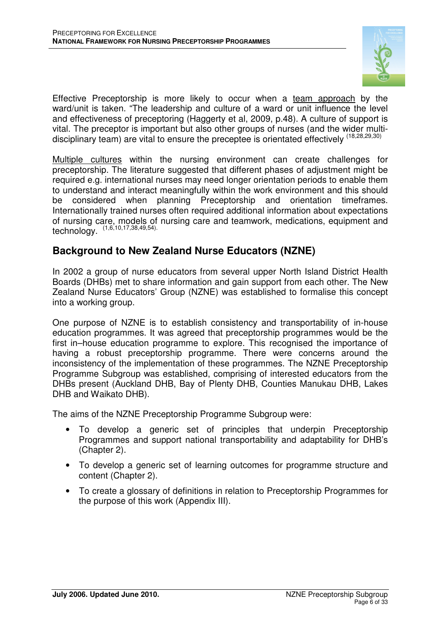

Effective Preceptorship is more likely to occur when a team approach by the ward/unit is taken. "The leadership and culture of a ward or unit influence the level and effectiveness of preceptoring (Haggerty et al, 2009, p.48). A culture of support is vital. The preceptor is important but also other groups of nurses (and the wider multidisciplinary team) are vital to ensure the preceptee is orientated effectively  $(18,28,29,30)$ 

Multiple cultures within the nursing environment can create challenges for preceptorship. The literature suggested that different phases of adjustment might be required e.g. international nurses may need longer orientation periods to enable them to understand and interact meaningfully within the work environment and this should be considered when planning Preceptorship and orientation timeframes. Internationally trained nurses often required additional information about expectations of nursing care, models of nursing care and teamwork, medications, equipment and technology. (1,6,10,17,38,49,54).

## **Background to New Zealand Nurse Educators (NZNE)**

In 2002 a group of nurse educators from several upper North Island District Health Boards (DHBs) met to share information and gain support from each other. The New Zealand Nurse Educators' Group (NZNE) was established to formalise this concept into a working group.

One purpose of NZNE is to establish consistency and transportability of in-house education programmes. It was agreed that preceptorship programmes would be the first in–house education programme to explore. This recognised the importance of having a robust preceptorship programme. There were concerns around the inconsistency of the implementation of these programmes. The NZNE Preceptorship Programme Subgroup was established, comprising of interested educators from the DHBs present (Auckland DHB, Bay of Plenty DHB, Counties Manukau DHB, Lakes DHB and Waikato DHB).

The aims of the NZNE Preceptorship Programme Subgroup were:

- To develop a generic set of principles that underpin Preceptorship Programmes and support national transportability and adaptability for DHB's (Chapter 2).
- To develop a generic set of learning outcomes for programme structure and content (Chapter 2).
- To create a glossary of definitions in relation to Preceptorship Programmes for the purpose of this work (Appendix III).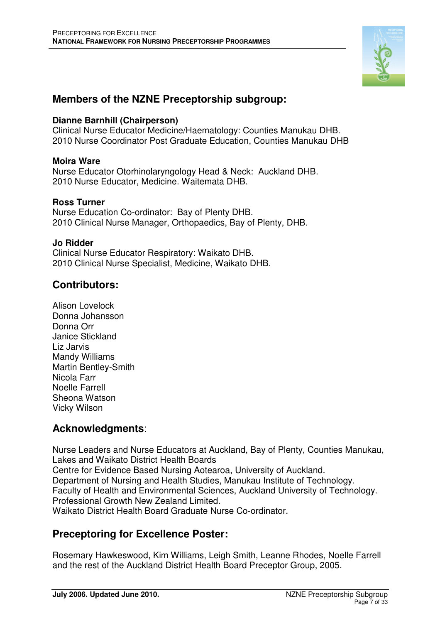

## **Members of the NZNE Preceptorship subgroup:**

## **Dianne Barnhill (Chairperson)**

Clinical Nurse Educator Medicine/Haematology: Counties Manukau DHB. 2010 Nurse Coordinator Post Graduate Education, Counties Manukau DHB

## **Moira Ware**

Nurse Educator Otorhinolaryngology Head & Neck: Auckland DHB. 2010 Nurse Educator, Medicine. Waitemata DHB.

## **Ross Turner**

Nurse Education Co-ordinator: Bay of Plenty DHB. 2010 Clinical Nurse Manager, Orthopaedics, Bay of Plenty, DHB.

### **Jo Ridder**

Clinical Nurse Educator Respiratory: Waikato DHB. 2010 Clinical Nurse Specialist, Medicine, Waikato DHB.

## **Contributors:**

Alison Lovelock Donna Johansson Donna Orr Janice Stickland Liz Jarvis Mandy Williams Martin Bentley-Smith Nicola Farr Noelle Farrell Sheona Watson Vicky Wilson

## **Acknowledgments**:

Nurse Leaders and Nurse Educators at Auckland, Bay of Plenty, Counties Manukau, Lakes and Waikato District Health Boards Centre for Evidence Based Nursing Aotearoa, University of Auckland. Department of Nursing and Health Studies, Manukau Institute of Technology. Faculty of Health and Environmental Sciences, Auckland University of Technology. Professional Growth New Zealand Limited. Waikato District Health Board Graduate Nurse Co-ordinator.

## **Preceptoring for Excellence Poster:**

Rosemary Hawkeswood, Kim Williams, Leigh Smith, Leanne Rhodes, Noelle Farrell and the rest of the Auckland District Health Board Preceptor Group, 2005.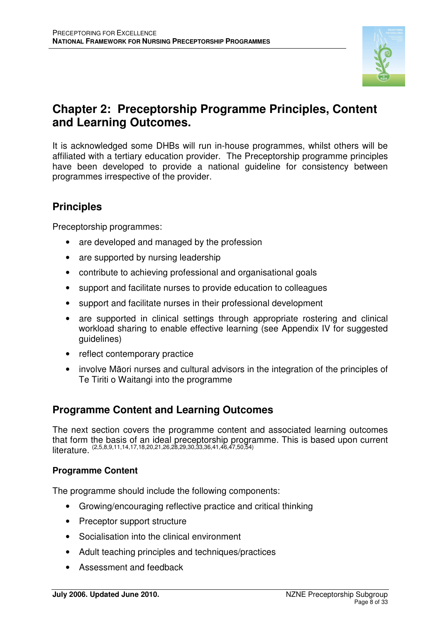

## **Chapter 2: Preceptorship Programme Principles, Content and Learning Outcomes.**

It is acknowledged some DHBs will run in-house programmes, whilst others will be affiliated with a tertiary education provider. The Preceptorship programme principles have been developed to provide a national guideline for consistency between programmes irrespective of the provider.

## **Principles**

Preceptorship programmes:

- are developed and managed by the profession
- are supported by nursing leadership
- contribute to achieving professional and organisational goals
- support and facilitate nurses to provide education to colleagues
- support and facilitate nurses in their professional development
- are supported in clinical settings through appropriate rostering and clinical workload sharing to enable effective learning (see Appendix IV for suggested guidelines)
- reflect contemporary practice
- involve Māori nurses and cultural advisors in the integration of the principles of Te Tiriti o Waitangi into the programme

## **Programme Content and Learning Outcomes**

The next section covers the programme content and associated learning outcomes that form the basis of an ideal preceptorship programme. This is based upon current literature. (2,5,8,9,11,14,17,18,20,21,26,28,29,30,33,36,41,46,47,50,54)

## **Programme Content**

The programme should include the following components:

- Growing/encouraging reflective practice and critical thinking
- Preceptor support structure
- Socialisation into the clinical environment
- Adult teaching principles and techniques/practices
- Assessment and feedback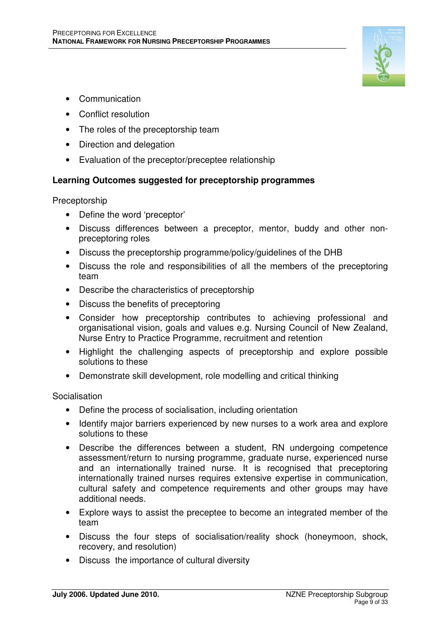

- Communication
- Conflict resolution
- The roles of the preceptorship team
- Direction and delegation
- Evaluation of the preceptor/preceptee relationship

## **Learning Outcomes suggested for preceptorship programmes**

**Preceptorship** 

- Define the word 'preceptor'
- Discuss differences between a preceptor, mentor, buddy and other nonpreceptoring roles
- Discuss the preceptorship programme/policy/guidelines of the DHB
- Discuss the role and responsibilities of all the members of the preceptoring team
- Describe the characteristics of preceptorship
- Discuss the benefits of preceptoring
- Consider how preceptorship contributes to achieving professional and organisational vision, goals and values e.g. Nursing Council of New Zealand, Nurse Entry to Practice Programme, recruitment and retention
- Highlight the challenging aspects of preceptorship and explore possible solutions to these
- Demonstrate skill development, role modelling and critical thinking

Socialisation

- Define the process of socialisation, including orientation
- Identify major barriers experienced by new nurses to a work area and explore solutions to these
- Describe the differences between a student, RN undergoing competence assessment/return to nursing programme, graduate nurse, experienced nurse and an internationally trained nurse. It is recognised that preceptoring internationally trained nurses requires extensive expertise in communication, cultural safety and competence requirements and other groups may have additional needs.
- Explore ways to assist the preceptee to become an integrated member of the team
- Discuss the four steps of socialisation/reality shock (honeymoon, shock, recovery, and resolution)
- Discuss the importance of cultural diversity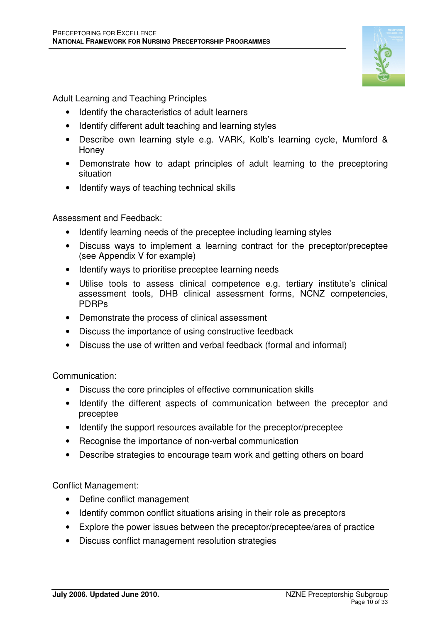

Adult Learning and Teaching Principles

- Identify the characteristics of adult learners
- Identify different adult teaching and learning styles
- Describe own learning style e.g. VARK, Kolb's learning cycle, Mumford & Honey
- Demonstrate how to adapt principles of adult learning to the preceptoring situation
- Identify ways of teaching technical skills

Assessment and Feedback:

- Identify learning needs of the preceptee including learning styles
- Discuss ways to implement a learning contract for the preceptor/preceptee (see Appendix V for example)
- Identify ways to prioritise preceptee learning needs
- Utilise tools to assess clinical competence e.g. tertiary institute's clinical assessment tools, DHB clinical assessment forms, NCNZ competencies, PDRPs
- Demonstrate the process of clinical assessment
- Discuss the importance of using constructive feedback
- Discuss the use of written and verbal feedback (formal and informal)

Communication:

- Discuss the core principles of effective communication skills
- Identify the different aspects of communication between the preceptor and preceptee
- Identify the support resources available for the preceptor/preceptee
- Recognise the importance of non-verbal communication
- Describe strategies to encourage team work and getting others on board

Conflict Management:

- Define conflict management
- Identify common conflict situations arising in their role as preceptors
- Explore the power issues between the preceptor/preceptee/area of practice
- Discuss conflict management resolution strategies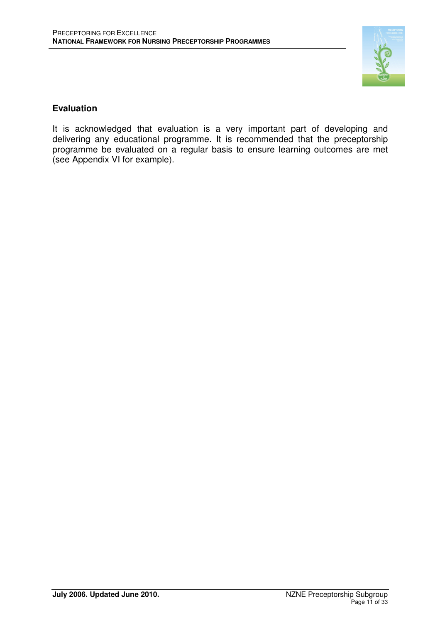

## **Evaluation**

It is acknowledged that evaluation is a very important part of developing and delivering any educational programme. It is recommended that the preceptorship programme be evaluated on a regular basis to ensure learning outcomes are met (see Appendix VI for example).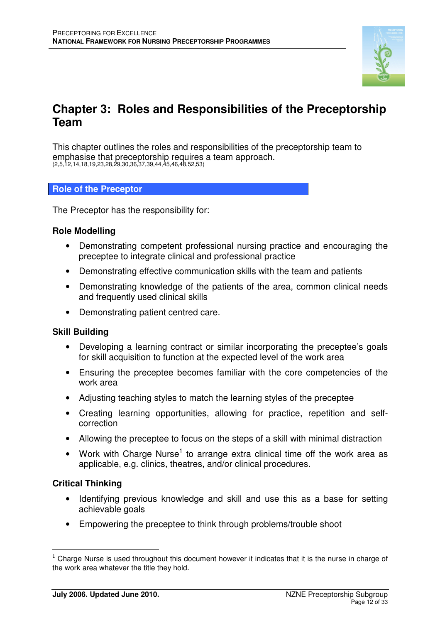

## **Chapter 3: Roles and Responsibilities of the Preceptorship Team**

This chapter outlines the roles and responsibilities of the preceptorship team to emphasise that preceptorship requires a team approach. (2,5,12,14,18,19,23,28,29,30,36,37,39,44,45,46,48,52,53)

## **Role of the Preceptor**

The Preceptor has the responsibility for:

### **Role Modelling**

- Demonstrating competent professional nursing practice and encouraging the preceptee to integrate clinical and professional practice
- Demonstrating effective communication skills with the team and patients
- Demonstrating knowledge of the patients of the area, common clinical needs and frequently used clinical skills
- Demonstrating patient centred care.

### **Skill Building**

- Developing a learning contract or similar incorporating the preceptee's goals for skill acquisition to function at the expected level of the work area
- Ensuring the preceptee becomes familiar with the core competencies of the work area
- Adjusting teaching styles to match the learning styles of the preceptee
- Creating learning opportunities, allowing for practice, repetition and selfcorrection
- Allowing the preceptee to focus on the steps of a skill with minimal distraction
- Work with Charge Nurse<sup>1</sup> to arrange extra clinical time off the work area as applicable, e.g. clinics, theatres, and/or clinical procedures.

## **Critical Thinking**

 $\overline{a}$ 

- Identifying previous knowledge and skill and use this as a base for setting achievable goals
- Empowering the preceptee to think through problems/trouble shoot

 $<sup>1</sup>$  Charge Nurse is used throughout this document however it indicates that it is the nurse in charge of</sup> the work area whatever the title they hold.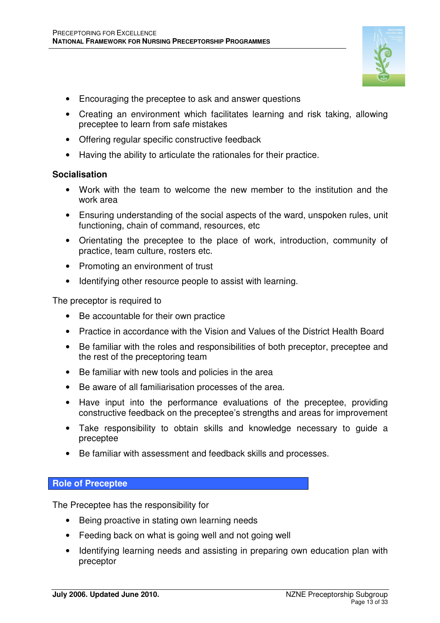

- Creating an environment which facilitates learning and risk taking, allowing preceptee to learn from safe mistakes
- Offering regular specific constructive feedback
- Having the ability to articulate the rationales for their practice.

## **Socialisation**

- Work with the team to welcome the new member to the institution and the work area
- Ensuring understanding of the social aspects of the ward, unspoken rules, unit functioning, chain of command, resources, etc
- Orientating the preceptee to the place of work, introduction, community of practice, team culture, rosters etc.
- Promoting an environment of trust
- Identifying other resource people to assist with learning.

The preceptor is required to

- Be accountable for their own practice
- Practice in accordance with the Vision and Values of the District Health Board
- Be familiar with the roles and responsibilities of both preceptor, preceptee and the rest of the preceptoring team
- Be familiar with new tools and policies in the area
- Be aware of all familiarisation processes of the area.
- Have input into the performance evaluations of the preceptee, providing constructive feedback on the preceptee's strengths and areas for improvement
- Take responsibility to obtain skills and knowledge necessary to guide a preceptee
- Be familiar with assessment and feedback skills and processes.

### **Role of Preceptee**

The Preceptee has the responsibility for

- Being proactive in stating own learning needs
- Feeding back on what is going well and not going well
- Identifying learning needs and assisting in preparing own education plan with preceptor

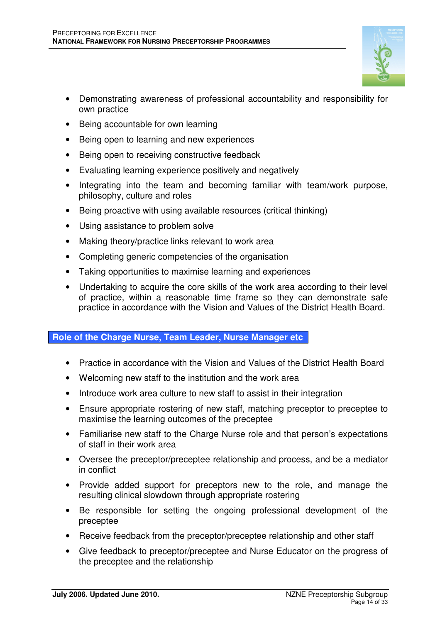- Demonstrating awareness of professional accountability and responsibility for own practice
- Being accountable for own learning
- Being open to learning and new experiences
- Being open to receiving constructive feedback
- Evaluating learning experience positively and negatively
- Integrating into the team and becoming familiar with team/work purpose, philosophy, culture and roles
- Being proactive with using available resources (critical thinking)
- Using assistance to problem solve
- Making theory/practice links relevant to work area
- Completing generic competencies of the organisation
- Taking opportunities to maximise learning and experiences
- Undertaking to acquire the core skills of the work area according to their level of practice, within a reasonable time frame so they can demonstrate safe practice in accordance with the Vision and Values of the District Health Board.

### **Role of the Charge Nurse, Team Leader, Nurse Manager etc**

- Practice in accordance with the Vision and Values of the District Health Board
- Welcoming new staff to the institution and the work area
- Introduce work area culture to new staff to assist in their integration
- Ensure appropriate rostering of new staff, matching preceptor to preceptee to maximise the learning outcomes of the preceptee
- Familiarise new staff to the Charge Nurse role and that person's expectations of staff in their work area
- Oversee the preceptor/preceptee relationship and process, and be a mediator in conflict
- Provide added support for preceptors new to the role, and manage the resulting clinical slowdown through appropriate rostering
- Be responsible for setting the ongoing professional development of the preceptee
- Receive feedback from the preceptor/preceptee relationship and other staff
- Give feedback to preceptor/preceptee and Nurse Educator on the progress of the preceptee and the relationship

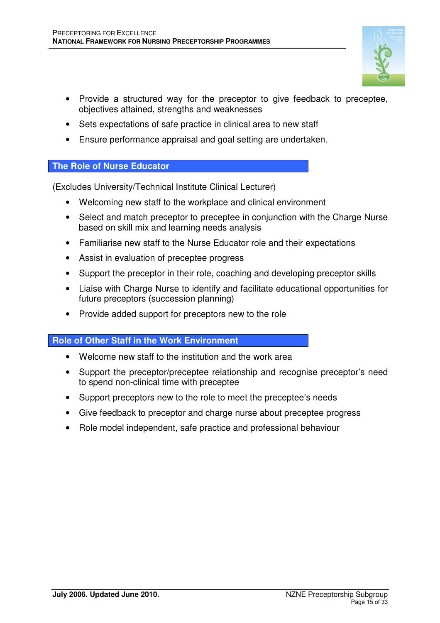

- Sets expectations of safe practice in clinical area to new staff
- Ensure performance appraisal and goal setting are undertaken.

### **The Role of Nurse Educator**

(Excludes University/Technical Institute Clinical Lecturer)

- Welcoming new staff to the workplace and clinical environment
- Select and match preceptor to preceptee in conjunction with the Charge Nurse based on skill mix and learning needs analysis
- Familiarise new staff to the Nurse Educator role and their expectations
- Assist in evaluation of preceptee progress
- Support the preceptor in their role, coaching and developing preceptor skills
- Liaise with Charge Nurse to identify and facilitate educational opportunities for future preceptors (succession planning)
- Provide added support for preceptors new to the role

### **Role of Other Staff in the Work Environment**

- Welcome new staff to the institution and the work area
- Support the preceptor/preceptee relationship and recognise preceptor's need to spend non-clinical time with preceptee
- Support preceptors new to the role to meet the preceptee's needs
- Give feedback to preceptor and charge nurse about preceptee progress
- Role model independent, safe practice and professional behaviour

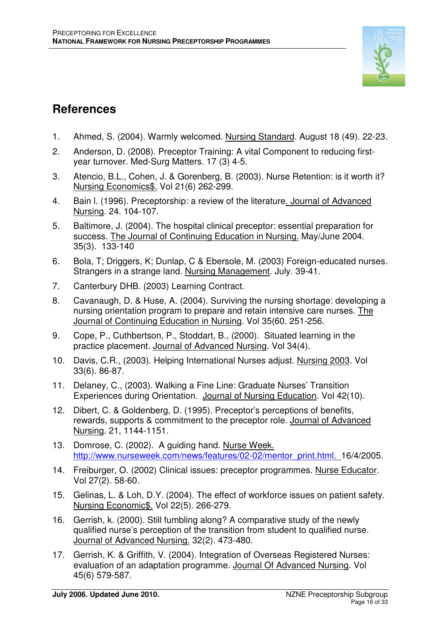

## **References**

- 1. Ahmed, S. (2004). Warmly welcomed. Nursing Standard. August 18 (49). 22-23.
- 2. Anderson, D. (2008). Preceptor Training: A vital Component to reducing firstyear turnover. Med-Surg Matters. 17 (3) 4-5.
- 3. Atencio, B.L., Cohen, J. & Gorenberg, B. (2003). Nurse Retention: is it worth it? Nursing Economics\$. Vol 21(6) 262-299.
- 4. Bain l. (1996). Preceptorship: a review of the literature. Journal of Advanced Nursing. 24. 104-107.
- 5. Baltimore, J. (2004). The hospital clinical preceptor: essential preparation for success. The Journal of Continuing Education in Nursing. May/June 2004. 35(3). 133-140
- 6. Bola, T; Driggers, K; Dunlap, C & Ebersole, M. (2003) Foreign-educated nurses. Strangers in a strange land. Nursing Management. July. 39-41.
- 7. Canterbury DHB. (2003) Learning Contract.
- 8. Cavanaugh, D. & Huse, A. (2004). Surviving the nursing shortage: developing a nursing orientation program to prepare and retain intensive care nurses. The Journal of Continuing Education in Nursing. Vol 35(60. 251-256.
- 9. Cope, P., Cuthbertson, P., Stoddart, B., (2000). Situated learning in the practice placement. Journal of Advanced Nursing. Vol 34(4).
- 10. Davis, C.R., (2003). Helping International Nurses adjust. Nursing 2003. Vol 33(6). 86-87.
- 11. Delaney, C., (2003). Walking a Fine Line: Graduate Nurses' Transition Experiences during Orientation. Journal of Nursing Education. Vol 42(10).
- 12. Dibert, C. & Goldenberg, D. (1995). Preceptor's perceptions of benefits, rewards, supports & commitment to the preceptor role. Journal of Advanced Nursing. 21, 1144-1151.
- 13. Domrose, C. (2002). A guiding hand. Nurse Week. http://www.nurseweek.com/news/features/02-02/mentor\_print.html. 16/4/2005.
- 14. Freiburger, O. (2002) Clinical issues: preceptor programmes. Nurse Educator. Vol 27(2). 58-60.
- 15. Gelinas, L. & Loh, D.Y. (2004). The effect of workforce issues on patient safety. Nursing Economic\$. Vol 22(5). 266-279.
- 16. Gerrish, k. (2000). Still fumbling along? A comparative study of the newly qualified nurse's perception of the transition from student to qualified nurse. Journal of Advanced Nursing. 32(2). 473-480.
- 17. Gerrish, K. & Griffith, V. (2004). Integration of Overseas Registered Nurses: evaluation of an adaptation programme. Journal Of Advanced Nursing. Vol 45(6) 579-587.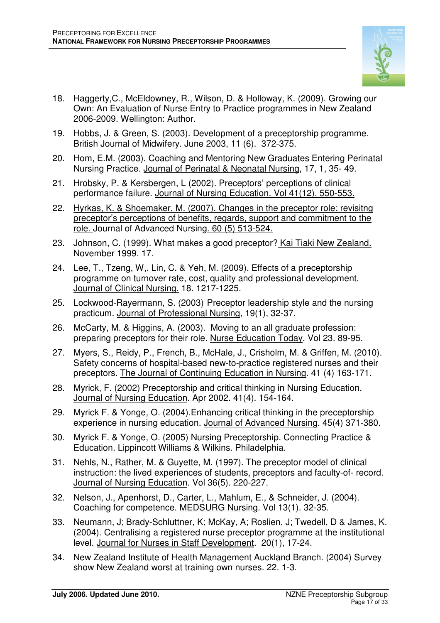

- 18. Haggerty,C., McEldowney, R., Wilson, D. & Holloway, K. (2009). Growing our Own: An Evaluation of Nurse Entry to Practice programmes in New Zealand 2006-2009. Wellington: Author.
- 19. Hobbs, J. & Green, S. (2003). Development of a preceptorship programme. British Journal of Midwifery. June 2003, 11 (6). 372-375.
- 20. Hom, E.M. (2003). Coaching and Mentoring New Graduates Entering Perinatal Nursing Practice. Journal of Perinatal & Neonatal Nursing, 17, 1, 35- 49.
- 21. Hrobsky, P. & Kersbergen, L (2002). Preceptors' perceptions of clinical performance failure. Journal of Nursing Education. Vol 41(12). 550-553.
- 22. Hyrkas, K. & Shoemaker, M. (2007). Changes in the preceptor role: revisitng preceptor's perceptions of benefits, regards, support and commitment to the role. Journal of Advanced Nursing. 60 (5) 513-524.
- 23. Johnson, C. (1999). What makes a good preceptor? Kai Tiaki New Zealand. November 1999. 17.
- 24. Lee, T., Tzeng, W,. Lin, C. & Yeh, M. (2009). Effects of a preceptorship programme on turnover rate, cost, quality and professional development. Journal of Clinical Nursing. 18. 1217-1225.
- 25. Lockwood-Rayermann, S. (2003) Preceptor leadership style and the nursing practicum. Journal of Professional Nursing, 19(1), 32-37.
- 26. McCarty, M. & Higgins, A. (2003). Moving to an all graduate profession: preparing preceptors for their role. Nurse Education Today. Vol 23. 89-95.
- 27. Myers, S., Reidy, P., French, B., McHale, J., Crisholm, M. & Griffen, M. (2010). Safety concerns of hospital-based new-to-practice registered nurses and their preceptors. The Journal of Continuing Education in Nursing. 41 (4) 163-171.
- 28. Myrick, F. (2002) Preceptorship and critical thinking in Nursing Education. Journal of Nursing Education. Apr 2002. 41(4). 154-164.
- 29. Myrick F. & Yonge, O. (2004).Enhancing critical thinking in the preceptorship experience in nursing education. Journal of Advanced Nursing. 45(4) 371-380.
- 30. Myrick F. & Yonge, O. (2005) Nursing Preceptorship. Connecting Practice & Education. Lippincott Williams & Wilkins. Philadelphia.
- 31. Nehls, N., Rather, M. & Guyette, M. (1997). The preceptor model of clinical instruction: the lived experiences of students, preceptors and faculty-of- record. Journal of Nursing Education. Vol 36(5). 220-227.
- 32. Nelson, J., Apenhorst, D., Carter, L., Mahlum, E., & Schneider, J. (2004). Coaching for competence. MEDSURG Nursing. Vol 13(1). 32-35.
- 33. Neumann, J; Brady-Schluttner, K; McKay, A; Roslien, J; Twedell, D & James, K. (2004). Centralising a registered nurse preceptor programme at the institutional level. Journal for Nurses in Staff Development. 20(1), 17-24.
- 34. New Zealand Institute of Health Management Auckland Branch. (2004) Survey show New Zealand worst at training own nurses. 22. 1-3.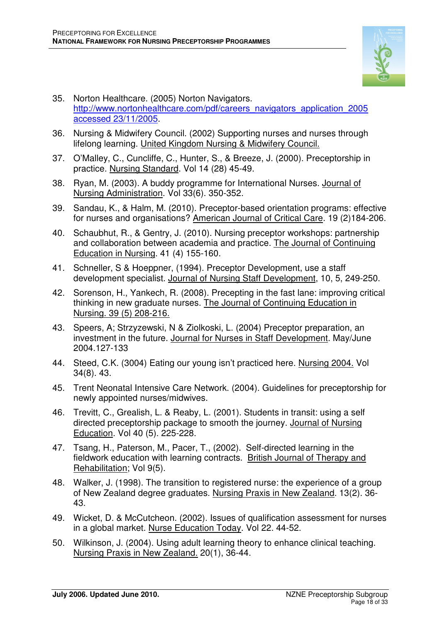

- 35. Norton Healthcare. (2005) Norton Navigators. http://www.nortonhealthcare.com/pdf/careers\_navigators\_application\_2005 accessed 23/11/2005.
- 36. Nursing & Midwifery Council. (2002) Supporting nurses and nurses through lifelong learning. United Kingdom Nursing & Midwifery Council.
- 37. O'Malley, C., Cuncliffe, C., Hunter, S., & Breeze, J. (2000). Preceptorship in practice. Nursing Standard. Vol 14 (28) 45-49.
- 38. Ryan, M. (2003). A buddy programme for International Nurses. Journal of Nursing Administration. Vol 33(6). 350-352.
- 39. Sandau, K., & Halm, M. (2010). Preceptor-based orientation programs: effective for nurses and organisations? American Journal of Critical Care. 19 (2)184-206.
- 40. Schaubhut, R., & Gentry, J. (2010). Nursing preceptor workshops: partnership and collaboration between academia and practice. The Journal of Continuing Education in Nursing. 41 (4) 155-160.
- 41. Schneller, S & Hoeppner, (1994). Preceptor Development, use a staff development specialist. Journal of Nursing Staff Development, 10, 5, 249-250.
- 42. Sorenson, H., Yankech, R. (2008). Precepting in the fast lane: improving critical thinking in new graduate nurses. The Journal of Continuing Education in Nursing. 39 (5) 208-216.
- 43. Speers, A; Strzyzewski, N & Ziolkoski, L. (2004) Preceptor preparation, an investment in the future. Journal for Nurses in Staff Development. May/June 2004.127-133
- 44. Steed, C.K. (3004) Eating our young isn't practiced here. Nursing 2004. Vol 34(8). 43.
- 45. Trent Neonatal Intensive Care Network. (2004). Guidelines for preceptorship for newly appointed nurses/midwives.
- 46. Trevitt, C., Grealish, L. & Reaby, L. (2001). Students in transit: using a self directed preceptorship package to smooth the journey. Journal of Nursing Education. Vol 40 (5). 225-228.
- 47. Tsang, H., Paterson, M., Pacer, T., (2002). Self-directed learning in the fieldwork education with learning contracts. British Journal of Therapy and Rehabilitation; Vol 9(5).
- 48. Walker, J. (1998). The transition to registered nurse: the experience of a group of New Zealand degree graduates. Nursing Praxis in New Zealand. 13(2). 36- 43.
- 49. Wicket, D. & McCutcheon. (2002). Issues of qualification assessment for nurses in a global market. Nurse Education Today. Vol 22. 44-52.
- 50. Wilkinson, J. (2004). Using adult learning theory to enhance clinical teaching. Nursing Praxis in New Zealand. 20(1), 36-44.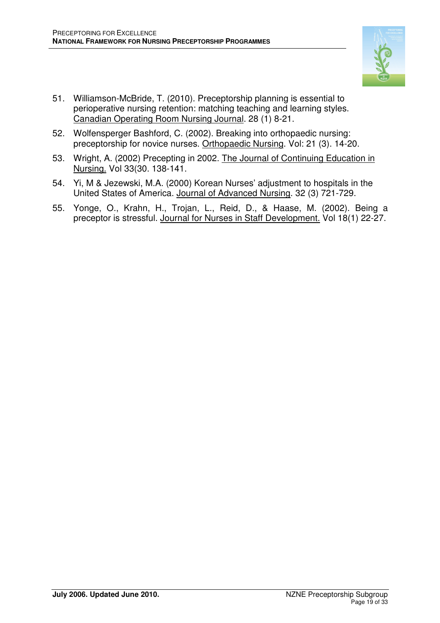

- 51. Williamson-McBride, T. (2010). Preceptorship planning is essential to perioperative nursing retention: matching teaching and learning styles. Canadian Operating Room Nursing Journal. 28 (1) 8-21.
- 52. Wolfensperger Bashford, C. (2002). Breaking into orthopaedic nursing: preceptorship for novice nurses. Orthopaedic Nursing. Vol: 21 (3). 14-20.
- 53. Wright, A. (2002) Precepting in 2002. The Journal of Continuing Education in Nursing. Vol 33(30. 138-141.
- 54. Yi, M & Jezewski, M.A. (2000) Korean Nurses' adjustment to hospitals in the United States of America. Journal of Advanced Nursing. 32 (3) 721-729.
- 55. Yonge, O., Krahn, H., Trojan, L., Reid, D., & Haase, M. (2002). Being a preceptor is stressful. Journal for Nurses in Staff Development. Vol 18(1) 22-27.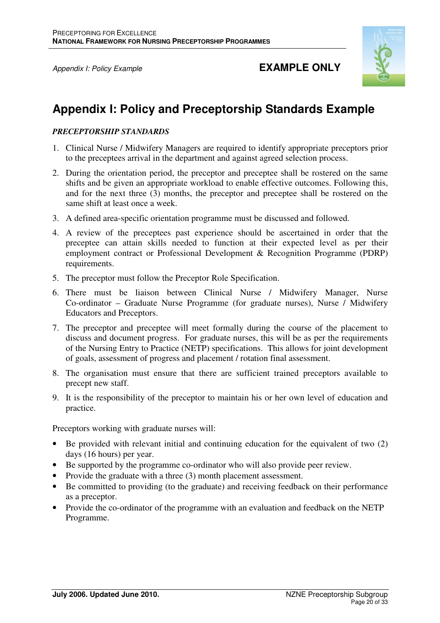

## Appendix I: Policy Example **EXAMPLE ONLY**

## **Appendix I: Policy and Preceptorship Standards Example**

### *PRECEPTORSHIP STANDARDS*

- 1. Clinical Nurse / Midwifery Managers are required to identify appropriate preceptors prior to the preceptees arrival in the department and against agreed selection process.
- 2. During the orientation period, the preceptor and preceptee shall be rostered on the same shifts and be given an appropriate workload to enable effective outcomes. Following this, and for the next three (3) months, the preceptor and preceptee shall be rostered on the same shift at least once a week.
- 3. A defined area-specific orientation programme must be discussed and followed.
- 4. A review of the preceptees past experience should be ascertained in order that the preceptee can attain skills needed to function at their expected level as per their employment contract or Professional Development & Recognition Programme (PDRP) requirements.
- 5. The preceptor must follow the Preceptor Role Specification.
- 6. There must be liaison between Clinical Nurse / Midwifery Manager, Nurse Co-ordinator – Graduate Nurse Programme (for graduate nurses), Nurse / Midwifery Educators and Preceptors.
- 7. The preceptor and preceptee will meet formally during the course of the placement to discuss and document progress. For graduate nurses, this will be as per the requirements of the Nursing Entry to Practice (NETP) specifications. This allows for joint development of goals, assessment of progress and placement / rotation final assessment.
- 8. The organisation must ensure that there are sufficient trained preceptors available to precept new staff.
- 9. It is the responsibility of the preceptor to maintain his or her own level of education and practice.

Preceptors working with graduate nurses will:

- Be provided with relevant initial and continuing education for the equivalent of two (2) days (16 hours) per year.
- Be supported by the programme co-ordinator who will also provide peer review.
- Provide the graduate with a three (3) month placement assessment.
- Be committed to providing (to the graduate) and receiving feedback on their performance as a preceptor.
- Provide the co-ordinator of the programme with an evaluation and feedback on the NETP Programme.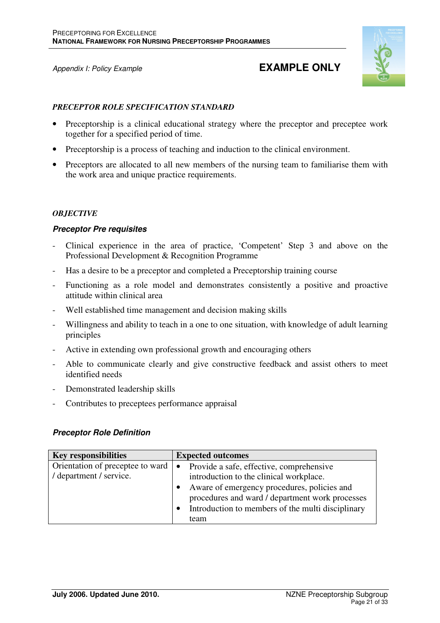## Appendix I: Policy Example **EXAMPLE ONLY**



#### *PRECEPTOR ROLE SPECIFICATION STANDARD*

- Preceptorship is a clinical educational strategy where the preceptor and preceptee work together for a specified period of time.
- Preceptorship is a process of teaching and induction to the clinical environment.
- Preceptors are allocated to all new members of the nursing team to familiarise them with the work area and unique practice requirements.

### *OBJECTIVE*

### **Preceptor Pre requisites**

- Clinical experience in the area of practice, 'Competent' Step 3 and above on the Professional Development & Recognition Programme
- Has a desire to be a preceptor and completed a Preceptorship training course
- Functioning as a role model and demonstrates consistently a positive and proactive attitude within clinical area
- Well established time management and decision making skills
- Willingness and ability to teach in a one to one situation, with knowledge of adult learning principles
- Active in extending own professional growth and encouraging others
- Able to communicate clearly and give constructive feedback and assist others to meet identified needs
- Demonstrated leadership skills
- Contributes to preceptees performance appraisal

#### **Preceptor Role Definition**

| <b>Key responsibilities</b>      | <b>Expected outcomes</b>                                                                       |
|----------------------------------|------------------------------------------------------------------------------------------------|
| Orientation of preceptee to ward | Provide a safe, effective, comprehensive<br>$\bullet$                                          |
| / department / service.          | introduction to the clinical workplace.                                                        |
|                                  | Aware of emergency procedures, policies and<br>procedures and ward / department work processes |
|                                  | Introduction to members of the multi disciplinary                                              |
|                                  | team                                                                                           |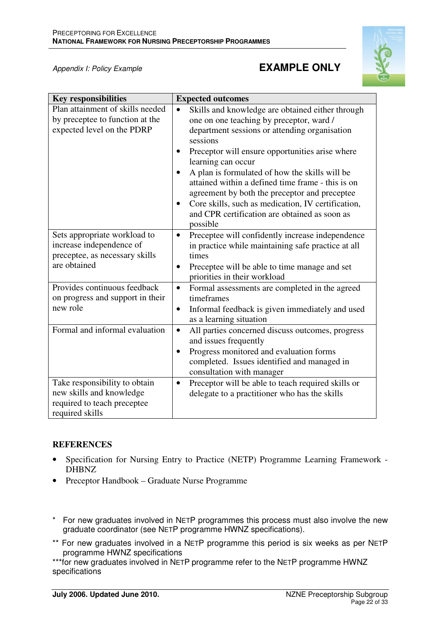## Appendix I: Policy Example **EXAMPLE ONLY**



| <b>Key responsibilities</b>                                                                                 | <b>Expected outcomes</b>                                                                                                                                                                                                                                                                                                                                                                                                                                                                                                                |
|-------------------------------------------------------------------------------------------------------------|-----------------------------------------------------------------------------------------------------------------------------------------------------------------------------------------------------------------------------------------------------------------------------------------------------------------------------------------------------------------------------------------------------------------------------------------------------------------------------------------------------------------------------------------|
| Plan attainment of skills needed<br>by preceptee to function at the<br>expected level on the PDRP           | Skills and knowledge are obtained either through<br>$\bullet$<br>one on one teaching by preceptor, ward /<br>department sessions or attending organisation<br>sessions<br>Preceptor will ensure opportunities arise where<br>$\bullet$<br>learning can occur<br>A plan is formulated of how the skills will be<br>attained within a defined time frame - this is on<br>agreement by both the preceptor and preceptee<br>Core skills, such as medication, IV certification,<br>and CPR certification are obtained as soon as<br>possible |
| Sets appropriate workload to<br>increase independence of<br>preceptee, as necessary skills<br>are obtained  | Preceptee will confidently increase independence<br>$\bullet$<br>in practice while maintaining safe practice at all<br>times<br>Preceptee will be able to time manage and set<br>$\bullet$<br>priorities in their workload                                                                                                                                                                                                                                                                                                              |
| Provides continuous feedback<br>on progress and support in their<br>new role                                | Formal assessments are completed in the agreed<br>$\bullet$<br>timeframes<br>Informal feedback is given immediately and used<br>$\bullet$<br>as a learning situation                                                                                                                                                                                                                                                                                                                                                                    |
| Formal and informal evaluation                                                                              | All parties concerned discuss outcomes, progress<br>$\bullet$<br>and issues frequently<br>Progress monitored and evaluation forms<br>$\bullet$<br>completed. Issues identified and managed in<br>consultation with manager                                                                                                                                                                                                                                                                                                              |
| Take responsibility to obtain<br>new skills and knowledge<br>required to teach preceptee<br>required skills | Preceptor will be able to teach required skills or<br>$\bullet$<br>delegate to a practitioner who has the skills                                                                                                                                                                                                                                                                                                                                                                                                                        |

## **REFERENCES**

- Specification for Nursing Entry to Practice (NETP) Programme Learning Framework DHBNZ
- Preceptor Handbook Graduate Nurse Programme
- \* For new graduates involved in NETP programmes this process must also involve the new graduate coordinator (see NETP programme HWNZ specifications).
- \*\* For new graduates involved in a NETP programme this period is six weeks as per NETP programme HWNZ specifications

\*\*\*for new graduates involved in NETP programme refer to the NETP programme HWNZ specifications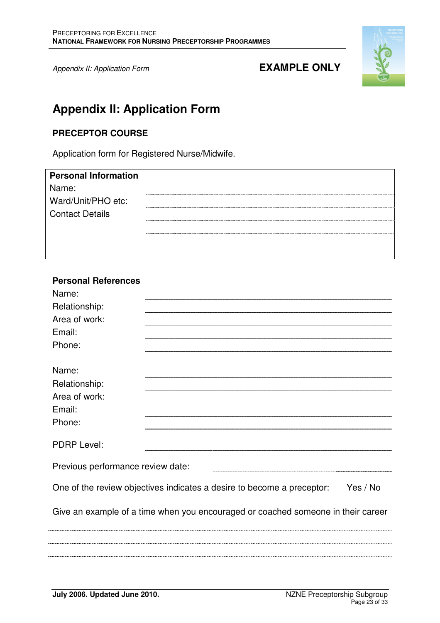

## **Appendix II: Application Form**

## **PRECEPTOR COURSE**

Application form for Registered Nurse/Midwife.

| <b>Personal Information</b> |                                       |
|-----------------------------|---------------------------------------|
| Name:                       |                                       |
| Ward/Unit/PHO etc:          |                                       |
| <b>Contact Details</b>      |                                       |
|                             | ------------------------------------- |
|                             |                                       |

## **Personal References**

| Name:                             |                                                                                  |          |
|-----------------------------------|----------------------------------------------------------------------------------|----------|
| Relationship:                     |                                                                                  |          |
| Area of work:                     |                                                                                  |          |
| Email:                            |                                                                                  |          |
| Phone:                            |                                                                                  |          |
|                                   |                                                                                  |          |
| Name:                             |                                                                                  |          |
| Relationship:                     |                                                                                  |          |
| Area of work:                     |                                                                                  |          |
| Email:                            |                                                                                  |          |
| Phone:                            |                                                                                  |          |
| <b>PDRP Level:</b>                |                                                                                  |          |
| Previous performance review date: |                                                                                  |          |
|                                   | One of the review objectives indicates a desire to become a preceptor:           | Yes / No |
|                                   | Give an example of a time when you encouraged or coached someone in their career |          |
|                                   |                                                                                  |          |
|                                   |                                                                                  |          |
|                                   |                                                                                  |          |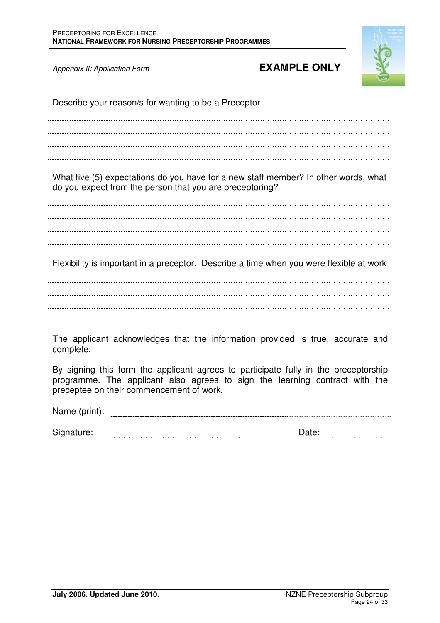

Describe your reason/s for wanting to be a Preceptor

What five (5) expectations do you have for a new staff member? In other words, what do you expect from the person that you are preceptoring?

Flexibility is important in a preceptor. Describe a time when you were flexible at work

The applicant acknowledges that the information provided is true, accurate and complete.

By signing this form the applicant agrees to participate fully in the preceptorship programme. The applicant also agrees to sign the learning contract with the preceptee on their commencement of work.

Name (print):

Signature: Date: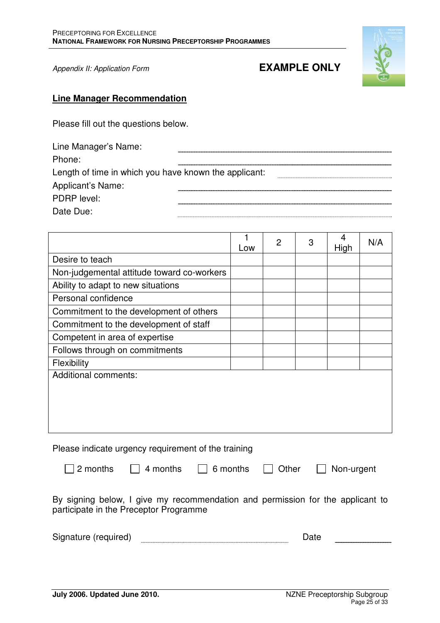

### **Line Manager Recommendation**

Please fill out the questions below.

| Line Manager's Name:                                  |  |
|-------------------------------------------------------|--|
| Phone:                                                |  |
| Length of time in which you have known the applicant: |  |
| Applicant's Name:                                     |  |
| PDRP level:                                           |  |
| Date Due:                                             |  |

|                                            | Low | $\overline{2}$ | 3 | 4<br>High | N/A |
|--------------------------------------------|-----|----------------|---|-----------|-----|
| Desire to teach                            |     |                |   |           |     |
| Non-judgemental attitude toward co-workers |     |                |   |           |     |
| Ability to adapt to new situations         |     |                |   |           |     |
| Personal confidence                        |     |                |   |           |     |
| Commitment to the development of others    |     |                |   |           |     |
| Commitment to the development of staff     |     |                |   |           |     |
| Competent in area of expertise             |     |                |   |           |     |
| Follows through on commitments             |     |                |   |           |     |
| Flexibility                                |     |                |   |           |     |
| <b>Additional comments:</b>                |     |                |   |           |     |
|                                            |     |                |   |           |     |
|                                            |     |                |   |           |     |
|                                            |     |                |   |           |     |
|                                            |     |                |   |           |     |

Please indicate urgency requirement of the training

2 months 4 months 6 months Other Non-urgent

By signing below, I give my recommendation and permission for the applicant to participate in the Preceptor Programme

| Signature (required) |  |  |
|----------------------|--|--|
|                      |  |  |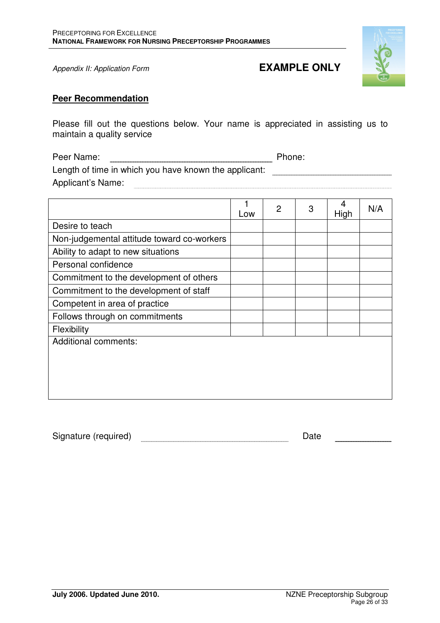

### **Peer Recommendation**

Please fill out the questions below. Your name is appreciated in assisting us to maintain a quality service

Peer Name: Name: 2008 Phone: 2010 Phone: 2010 Phone: 2010 Phone: 2010 Phone: 2010 Phone: 2010 Phone: 2010 Phone: 2010 Phone: 2010 Phone: 2010 Phone: 2010 Phone: 2010 Phone: 2010 Phone: 2010 Phone: 2010 Phone: 2010 Phone: 2 Length of time in which you have known the applicant: \_\_\_\_\_\_\_\_\_\_\_\_\_\_\_\_\_\_\_\_\_\_\_\_\_\_ Applicant's Name: **Algebra 2018** 

|                                            | Low | 2 | 3 | 4<br>High | N/A |
|--------------------------------------------|-----|---|---|-----------|-----|
| Desire to teach                            |     |   |   |           |     |
| Non-judgemental attitude toward co-workers |     |   |   |           |     |
| Ability to adapt to new situations         |     |   |   |           |     |
| Personal confidence                        |     |   |   |           |     |
| Commitment to the development of others    |     |   |   |           |     |
| Commitment to the development of staff     |     |   |   |           |     |
| Competent in area of practice              |     |   |   |           |     |
| Follows through on commitments             |     |   |   |           |     |
| Flexibility                                |     |   |   |           |     |
| <b>Additional comments:</b>                |     |   |   |           |     |
|                                            |     |   |   |           |     |
|                                            |     |   |   |           |     |
|                                            |     |   |   |           |     |
|                                            |     |   |   |           |     |

Signature (required) **Date** Date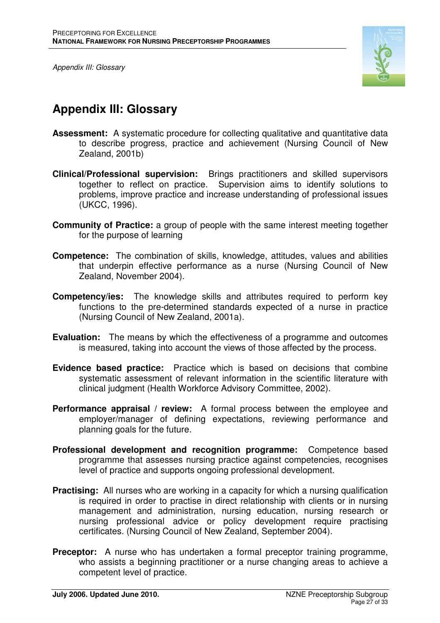Appendix III: Glossary



## **Appendix III: Glossary**

- **Assessment:** A systematic procedure for collecting qualitative and quantitative data to describe progress, practice and achievement (Nursing Council of New Zealand, 2001b)
- **Clinical/Professional supervision:** Brings practitioners and skilled supervisors together to reflect on practice. Supervision aims to identify solutions to problems, improve practice and increase understanding of professional issues (UKCC, 1996).
- **Community of Practice:** a group of people with the same interest meeting together for the purpose of learning
- **Competence:** The combination of skills, knowledge, attitudes, values and abilities that underpin effective performance as a nurse (Nursing Council of New Zealand, November 2004).
- **Competency/ies:** The knowledge skills and attributes required to perform key functions to the pre-determined standards expected of a nurse in practice (Nursing Council of New Zealand, 2001a).
- **Evaluation:** The means by which the effectiveness of a programme and outcomes is measured, taking into account the views of those affected by the process.
- **Evidence based practice:** Practice which is based on decisions that combine systematic assessment of relevant information in the scientific literature with clinical judgment (Health Workforce Advisory Committee, 2002).
- **Performance appraisal / review:** A formal process between the employee and employer/manager of defining expectations, reviewing performance and planning goals for the future.
- **Professional development and recognition programme:** Competence based programme that assesses nursing practice against competencies, recognises level of practice and supports ongoing professional development.
- **Practising:** All nurses who are working in a capacity for which a nursing qualification is required in order to practise in direct relationship with clients or in nursing management and administration, nursing education, nursing research or nursing professional advice or policy development require practising certificates. (Nursing Council of New Zealand, September 2004).
- **Preceptor:** A nurse who has undertaken a formal preceptor training programme, who assists a beginning practitioner or a nurse changing areas to achieve a competent level of practice.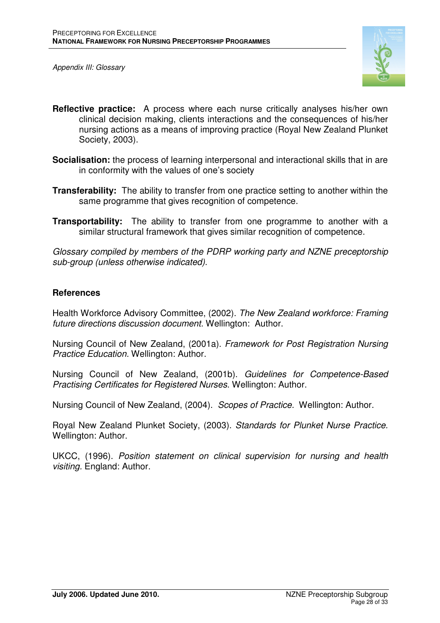Appendix III: Glossary



- **Reflective practice:** A process where each nurse critically analyses his/her own clinical decision making, clients interactions and the consequences of his/her nursing actions as a means of improving practice (Royal New Zealand Plunket Society, 2003).
- **Socialisation:** the process of learning interpersonal and interactional skills that in are in conformity with the values of one's society
- **Transferability:** The ability to transfer from one practice setting to another within the same programme that gives recognition of competence.
- **Transportability:** The ability to transfer from one programme to another with a similar structural framework that gives similar recognition of competence.

Glossary compiled by members of the PDRP working party and NZNE preceptorship sub-group (unless otherwise indicated).

## **References**

Health Workforce Advisory Committee, (2002). The New Zealand workforce: Framing future directions discussion document. Wellington: Author.

Nursing Council of New Zealand, (2001a). Framework for Post Registration Nursing Practice Education. Wellington: Author.

Nursing Council of New Zealand, (2001b). Guidelines for Competence-Based Practising Certificates for Registered Nurses. Wellington: Author.

Nursing Council of New Zealand, (2004). Scopes of Practice. Wellington: Author.

Royal New Zealand Plunket Society, (2003). Standards for Plunket Nurse Practice. Wellington: Author.

UKCC, (1996). Position statement on clinical supervision for nursing and health visiting. England: Author.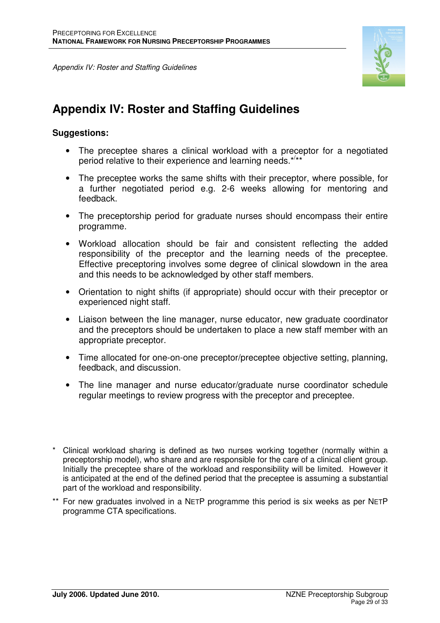Appendix IV: Roster and Staffing Guidelines



## **Appendix IV: Roster and Staffing Guidelines**

## **Suggestions:**

- The preceptee shares a clinical workload with a preceptor for a negotiated period relative to their experience and learning needs.\*/\*\*
- The preceptee works the same shifts with their preceptor, where possible, for a further negotiated period e.g. 2-6 weeks allowing for mentoring and feedback.
- The preceptorship period for graduate nurses should encompass their entire programme.
- Workload allocation should be fair and consistent reflecting the added responsibility of the preceptor and the learning needs of the preceptee. Effective preceptoring involves some degree of clinical slowdown in the area and this needs to be acknowledged by other staff members.
- Orientation to night shifts (if appropriate) should occur with their preceptor or experienced night staff.
- Liaison between the line manager, nurse educator, new graduate coordinator and the preceptors should be undertaken to place a new staff member with an appropriate preceptor.
- Time allocated for one-on-one preceptor/preceptee objective setting, planning, feedback, and discussion.
- The line manager and nurse educator/graduate nurse coordinator schedule regular meetings to review progress with the preceptor and preceptee.

\*\* For new graduates involved in a NETP programme this period is six weeks as per NETP programme CTA specifications.

Clinical workload sharing is defined as two nurses working together (normally within a preceptorship model), who share and are responsible for the care of a clinical client group. Initially the preceptee share of the workload and responsibility will be limited. However it is anticipated at the end of the defined period that the preceptee is assuming a substantial part of the workload and responsibility.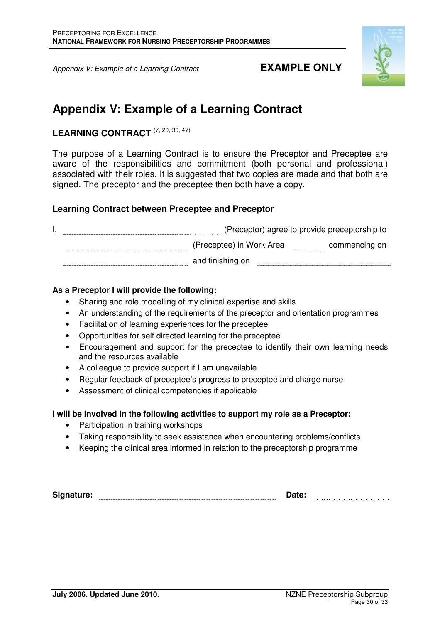Appendix V: Example of a Learning Contract **EXAMPLE ONLY** 



## **Appendix V: Example of a Learning Contract**

## LEARNING CONTRACT<sup>(7, 20, 30, 47)</sup>

The purpose of a Learning Contract is to ensure the Preceptor and Preceptee are aware of the responsibilities and commitment (both personal and professional) associated with their roles. It is suggested that two copies are made and that both are signed. The preceptor and the preceptee then both have a copy.

## **Learning Contract between Preceptee and Preceptor**

|  | (Preceptor) agree to provide preceptorship to |               |
|--|-----------------------------------------------|---------------|
|  | (Preceptee) in Work Area                      | commencing on |
|  | and finishing on                              |               |

### **As a Preceptor I will provide the following:**

- Sharing and role modelling of my clinical expertise and skills
- An understanding of the requirements of the preceptor and orientation programmes
- Facilitation of learning experiences for the preceptee
- Opportunities for self directed learning for the preceptee
- Encouragement and support for the preceptee to identify their own learning needs and the resources available
- A colleague to provide support if I am unavailable
- Regular feedback of preceptee's progress to preceptee and charge nurse
- Assessment of clinical competencies if applicable

### **I will be involved in the following activities to support my role as a Preceptor:**

- Participation in training workshops
- Taking responsibility to seek assistance when encountering problems/conflicts
- Keeping the clinical area informed in relation to the preceptorship programme

| Signature: | <b>Date:</b> |  |
|------------|--------------|--|
|            |              |  |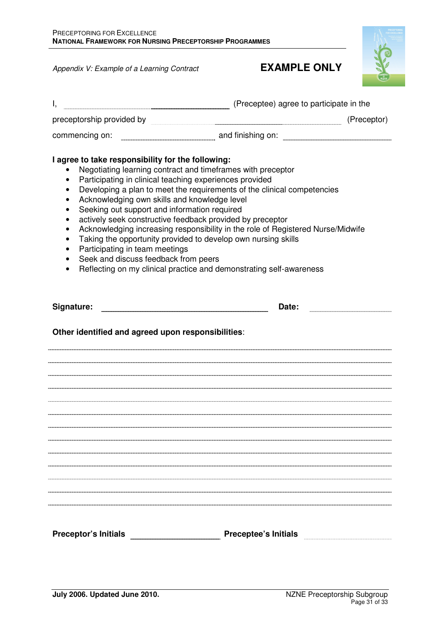Appendix V: Example of a Learning Contract **EXAMPLE ONLY** 



| Ι,                                                                                                                                                                                                                                                                                                                                                           | (Preceptee) agree to participate in the                                                                                                                                                                                                                                                                                                                                                                                        |
|--------------------------------------------------------------------------------------------------------------------------------------------------------------------------------------------------------------------------------------------------------------------------------------------------------------------------------------------------------------|--------------------------------------------------------------------------------------------------------------------------------------------------------------------------------------------------------------------------------------------------------------------------------------------------------------------------------------------------------------------------------------------------------------------------------|
|                                                                                                                                                                                                                                                                                                                                                              | preceptorship provided by electron and a set of the provided by the set of the set of the set of the set of the<br>(Preceptor)                                                                                                                                                                                                                                                                                                 |
| commencing on:                                                                                                                                                                                                                                                                                                                                               | and finishing on: <b>with the contract of the contract of the contract of the contract of the contract of the contract of the contract of the contract of the contract of the contract of the contract of the contract of the co</b>                                                                                                                                                                                           |
| I agree to take responsibility for the following:<br>Participating in clinical teaching experiences provided<br>$\bullet$<br>Acknowledging own skills and knowledge level<br>Seeking out support and information required<br>٠<br>$\bullet$<br>$\bullet$<br>$\bullet$<br>Participating in team meetings<br>$\bullet$<br>Seek and discuss feedback from peers | Negotiating learning contract and timeframes with preceptor<br>Developing a plan to meet the requirements of the clinical competencies<br>actively seek constructive feedback provided by preceptor<br>Acknowledging increasing responsibility in the role of Registered Nurse/Midwife<br>Taking the opportunity provided to develop own nursing skills<br>Reflecting on my clinical practice and demonstrating self-awareness |
| Signature:<br>Other identified and agreed upon responsibilities:                                                                                                                                                                                                                                                                                             | Date:                                                                                                                                                                                                                                                                                                                                                                                                                          |
|                                                                                                                                                                                                                                                                                                                                                              |                                                                                                                                                                                                                                                                                                                                                                                                                                |
|                                                                                                                                                                                                                                                                                                                                                              |                                                                                                                                                                                                                                                                                                                                                                                                                                |
|                                                                                                                                                                                                                                                                                                                                                              |                                                                                                                                                                                                                                                                                                                                                                                                                                |
| <b>Preceptor's Initials</b>                                                                                                                                                                                                                                                                                                                                  | <b>Preceptee's Initials</b>                                                                                                                                                                                                                                                                                                                                                                                                    |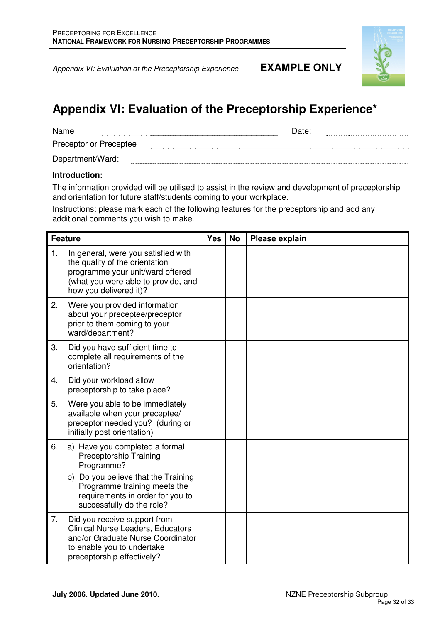Appendix VI: Evaluation of the Preceptorship Experience **EXAMPLE ONLY**



## **Appendix VI: Evaluation of the Preceptorship Experience\***

| Date: |
|-------|
|       |

Preceptor or Preceptee 

Department/Ward: 

#### **Introduction:**

The information provided will be utilised to assist in the review and development of preceptorship and orientation for future staff/students coming to your workplace.

Instructions: please mark each of the following features for the preceptorship and add any additional comments you wish to make.

| <b>Feature</b> |                                                                                                                                                                            | <b>Yes</b> | No | Please explain |
|----------------|----------------------------------------------------------------------------------------------------------------------------------------------------------------------------|------------|----|----------------|
| 1.             | In general, were you satisfied with<br>the quality of the orientation<br>programme your unit/ward offered<br>(what you were able to provide, and<br>how you delivered it)? |            |    |                |
| 2.             | Were you provided information<br>about your preceptee/preceptor<br>prior to them coming to your<br>ward/department?                                                        |            |    |                |
| 3.             | Did you have sufficient time to<br>complete all requirements of the<br>orientation?                                                                                        |            |    |                |
| 4.             | Did your workload allow<br>preceptorship to take place?                                                                                                                    |            |    |                |
| 5.             | Were you able to be immediately<br>available when your preceptee/<br>preceptor needed you? (during or<br>initially post orientation)                                       |            |    |                |
| 6.             | a) Have you completed a formal<br><b>Preceptorship Training</b><br>Programme?                                                                                              |            |    |                |
|                | b) Do you believe that the Training<br>Programme training meets the<br>requirements in order for you to<br>successfully do the role?                                       |            |    |                |
| 7.             | Did you receive support from<br><b>Clinical Nurse Leaders, Educators</b><br>and/or Graduate Nurse Coordinator<br>to enable you to undertake<br>preceptorship effectively?  |            |    |                |